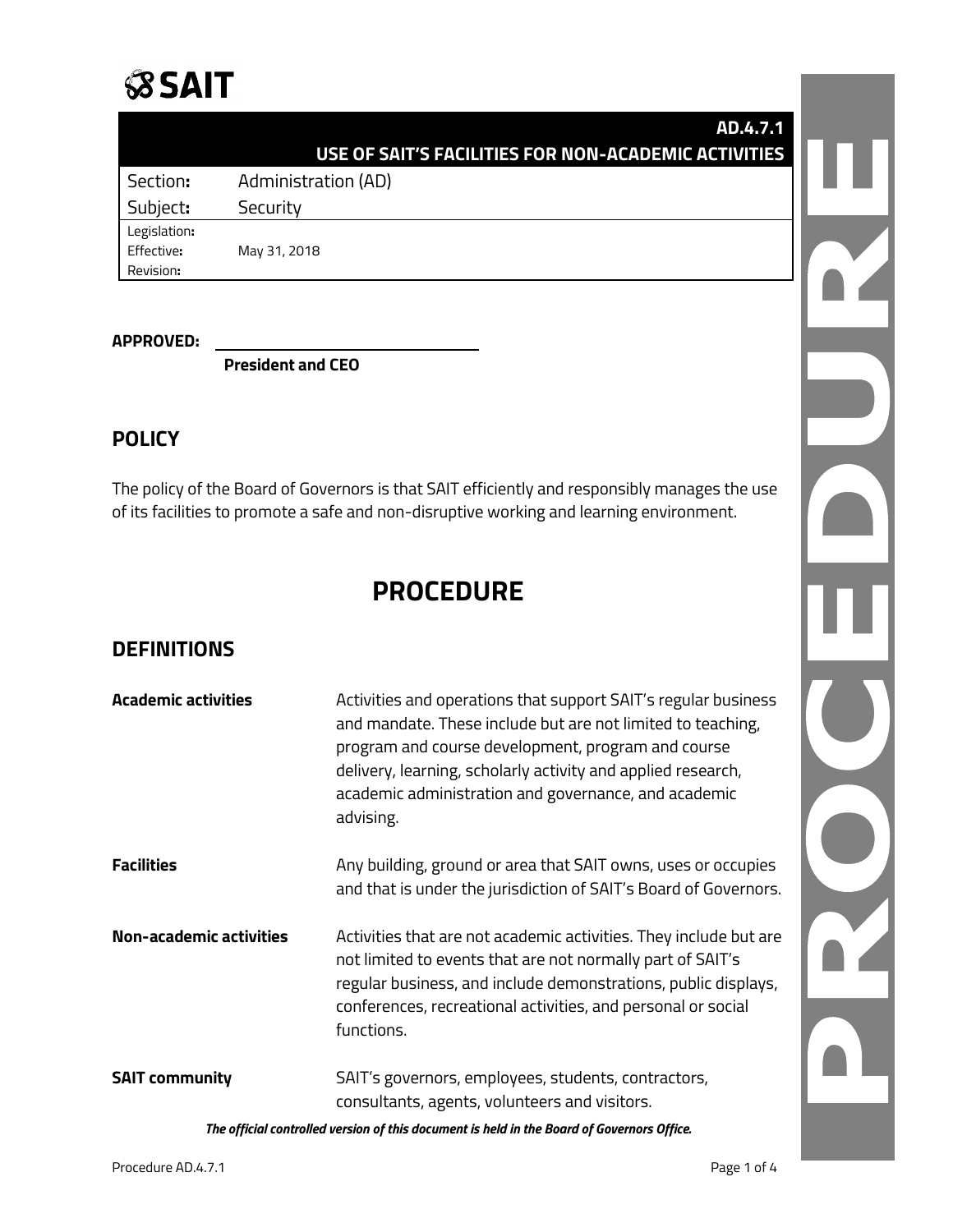# **SSAIT**

| AD.4.7.1                                             |  |
|------------------------------------------------------|--|
| USE OF SAIT'S FACILITIES FOR NON-ACADEMIC ACTIVITIES |  |
| Administration (AD)<br>Section:                      |  |
| Subject:<br>Security                                 |  |
| Legislation:                                         |  |
| Effective:<br>May 31, 2018                           |  |
| Revision:                                            |  |

**APPROVED:**

**President and CEO**

# **POLICY**

The policy of the Board of Governors is that SAIT efficiently and responsibly manages the use of its facilities to promote a safe and non-disruptive working and learning environment.

# **PROCEDURE**

## **DEFINITIONS**

| <b>Academic activities</b>     | Activities and operations that support SAIT's regular business<br>and mandate. These include but are not limited to teaching,<br>program and course development, program and course<br>delivery, learning, scholarly activity and applied research,<br>academic administration and governance, and academic<br>advising. |
|--------------------------------|--------------------------------------------------------------------------------------------------------------------------------------------------------------------------------------------------------------------------------------------------------------------------------------------------------------------------|
| <b>Facilities</b>              | Any building, ground or area that SAIT owns, uses or occupies<br>and that is under the jurisdiction of SAIT's Board of Governors.                                                                                                                                                                                        |
| <b>Non-academic activities</b> | Activities that are not academic activities. They include but are<br>not limited to events that are not normally part of SAIT's<br>regular business, and include demonstrations, public displays,<br>conferences, recreational activities, and personal or social<br>functions.                                          |
| <b>SAIT community</b>          | SAIT's governors, employees, students, contractors,<br>consultants, agents, volunteers and visitors.                                                                                                                                                                                                                     |

*The official controlled version of this document is held in the Board of Governors Office.*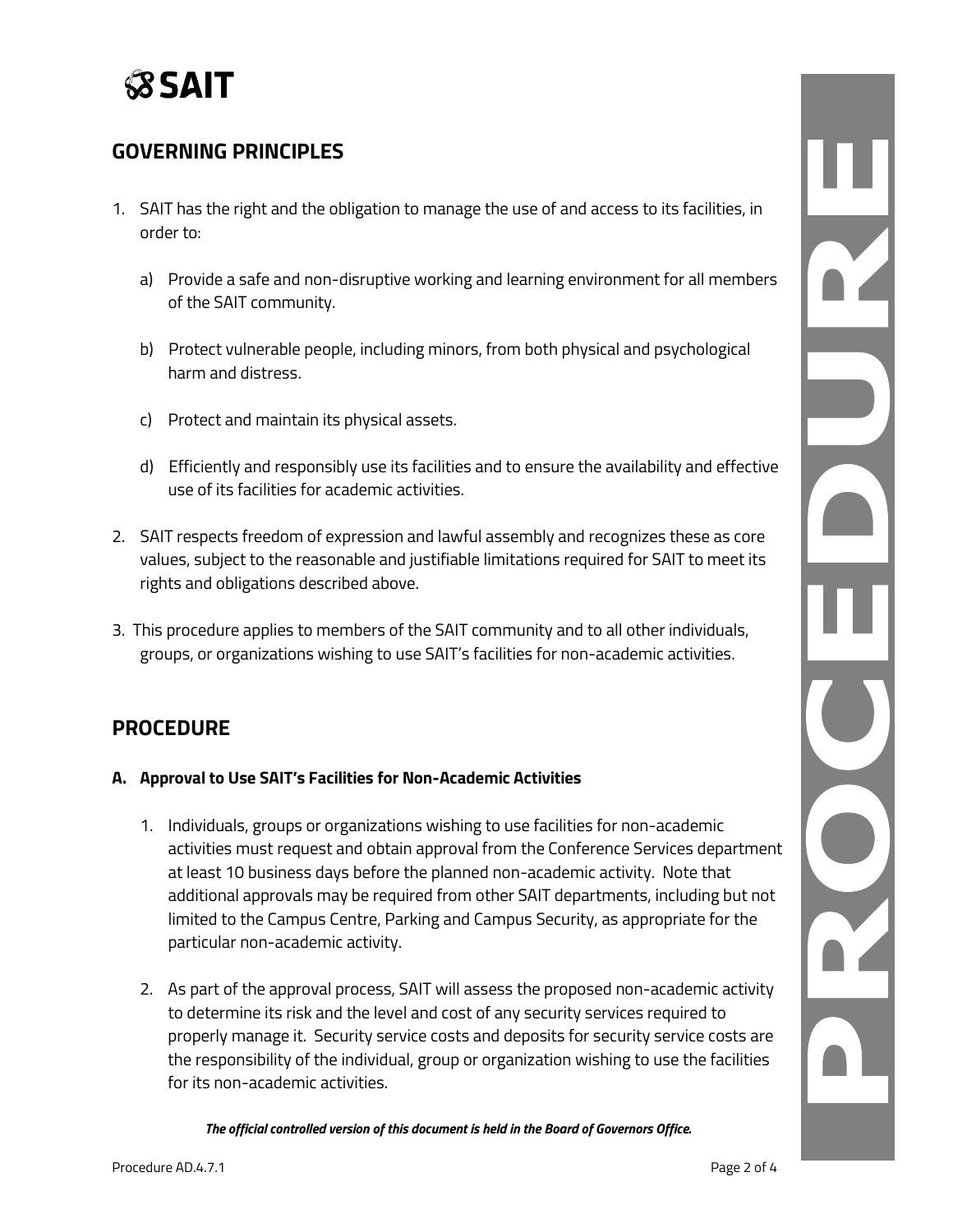

# **GOVERNING PRINCIPLES**

- 1. SAIT has the right and the obligation to manage the use of and access to its facilities, in order to:
	- a) Provide a safe and non-disruptive working and learning environment for all members of the SAIT community.
	- b) Protect vulnerable people, including minors, from both physical and psychological harm and distress.
	- c) Protect and maintain its physical assets.
	- d) Efficiently and responsibly use its facilities and to ensure the availability and effective use of its facilities for academic activities.
- 2. SAIT respects freedom of expression and lawful assembly and recognizes these as core values, subject to the reasonable and justifiable limitations required for SAIT to meet its rights and obligations described above.
- 3. This procedure applies to members of the SAIT community and to all other individuals, groups, or organizations wishing to use SAIT's facilities for non-academic activities.

## **PROCEDURE**

#### **A. Approval to Use SAIT's Facilities for Non-Academic Activities**

- 1. Individuals, groups or organizations wishing to use facilities for non-academic activities must request and obtain approval from the Conference Services department at least 10 business days before the planned non-academic activity. Note that additional approvals may be required from other SAIT departments, including but not limited to the Campus Centre, Parking and Campus Security, as appropriate for the particular non-academic activity.
- 2. As part of the approval process, SAIT will assess the proposed non-academic activity to determine its risk and the level and cost of any security services required to properly manage it. Security service costs and deposits for security service costs are the responsibility of the individual, group or organization wishing to use the facilities for its non-academic activities.

*The official controlled version of this document is held in the Board of Governors Office.*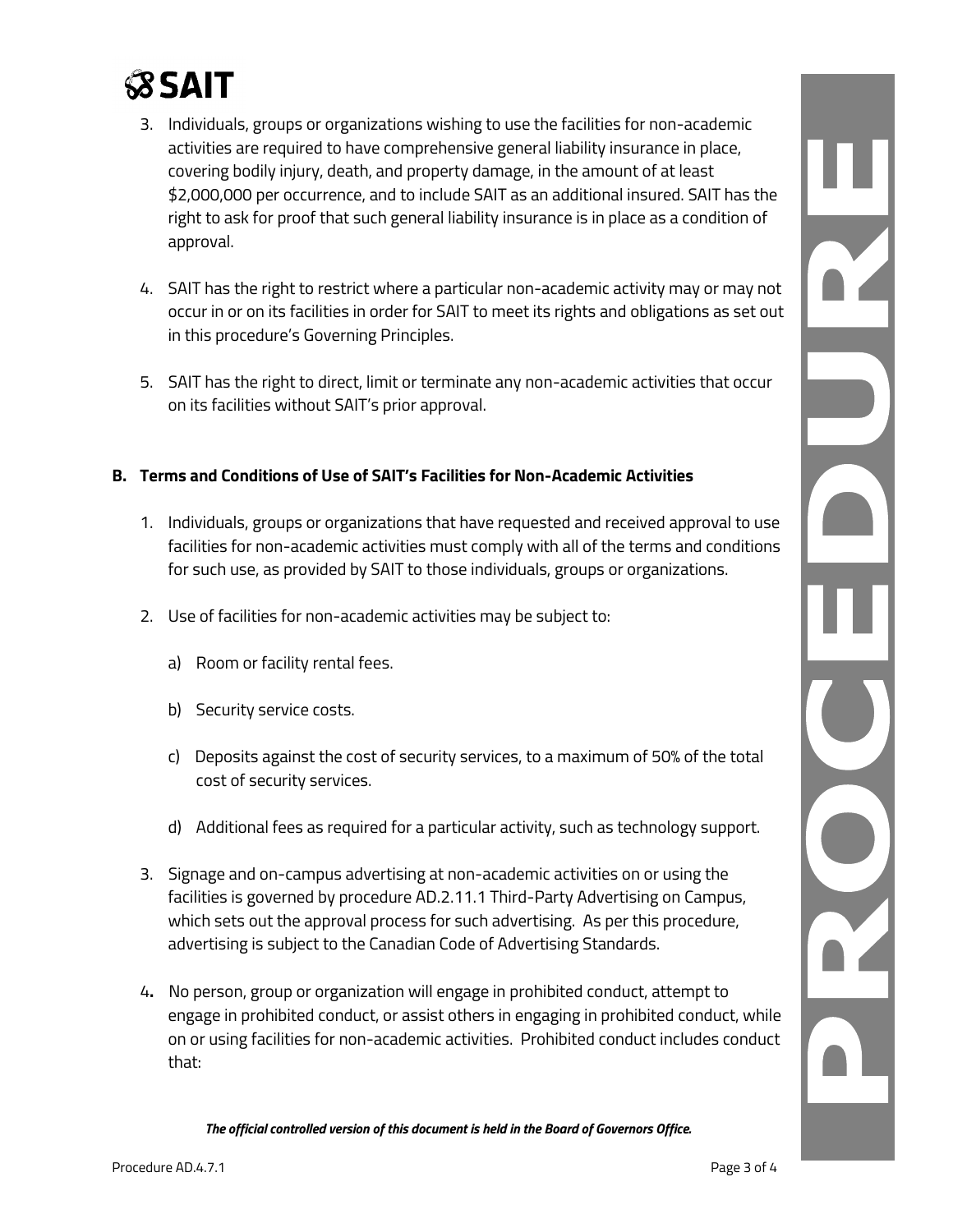# **SSAIT**

- 3. Individuals, groups or organizations wishing to use the facilities for non-academic activities are required to have comprehensive general liability insurance in place, covering bodily injury, death, and property damage, in the amount of at least \$2,000,000 per occurrence, and to include SAIT as an additional insured. SAIT has the right to ask for proof that such general liability insurance is in place as a condition of approval.
- 4. SAIT has the right to restrict where a particular non-academic activity may or may not occur in or on its facilities in order for SAIT to meet its rights and obligations as set out in this procedure's Governing Principles.
- 5. SAIT has the right to direct, limit or terminate any non-academic activities that occur on its facilities without SAIT's prior approval.

#### **B. Terms and Conditions of Use of SAIT's Facilities for Non-Academic Activities**

- 1. Individuals, groups or organizations that have requested and received approval to use facilities for non-academic activities must comply with all of the terms and conditions for such use, as provided by SAIT to those individuals, groups or organizations.
- 2. Use of facilities for non-academic activities may be subject to:
	- a) Room or facility rental fees.
	- b) Security service costs.
	- c) Deposits against the cost of security services, to a maximum of 50% of the total cost of security services.
	- d) Additional fees as required for a particular activity, such as technology support.
- 3. Signage and on-campus advertising at non-academic activities on or using the facilities is governed by procedure AD.2.11.1 Third-Party Advertising on Campus, which sets out the approval process for such advertising. As per this procedure, advertising is subject to the Canadian Code of Advertising Standards.
- 4**.** No person, group or organization will engage in prohibited conduct, attempt to engage in prohibited conduct, or assist others in engaging in prohibited conduct, while on or using facilities for non-academic activities. Prohibited conduct includes conduct that:

*The official controlled version of this document is held in the Board of Governors Office.*